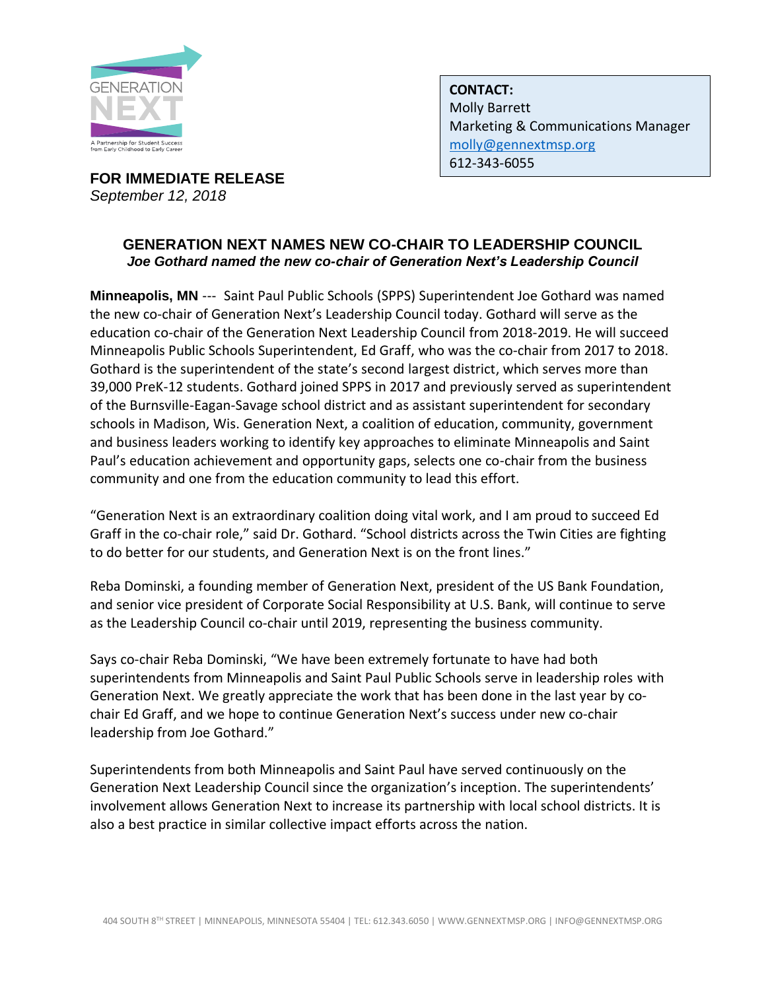

**FOR IMMEDIATE RELEASE**  *September 12, 2018*

**CONTACT:** Molly Barrett Marketing & Communications Manager [molly@gennextmsp.org](mailto:molly@gennextmsp.org) 612-343-6055

## **GENERATION NEXT NAMES NEW CO-CHAIR TO LEADERSHIP COUNCIL** *Joe Gothard named the new co-chair of Generation Next's Leadership Council*

**Minneapolis, MN** --- Saint Paul Public Schools (SPPS) Superintendent Joe Gothard was named the new co-chair of Generation Next's Leadership Council today. Gothard will serve as the education co-chair of the Generation Next Leadership Council from 2018-2019. He will succeed Minneapolis Public Schools Superintendent, Ed Graff, who was the co-chair from 2017 to 2018. Gothard is the superintendent of the state's second largest district, which serves more than 39,000 PreK-12 students. Gothard joined SPPS in 2017 and previously served as superintendent of the Burnsville-Eagan-Savage school district and as assistant superintendent for secondary schools in Madison, Wis. Generation Next, a coalition of education, community, government and business leaders working to identify key approaches to eliminate Minneapolis and Saint Paul's education achievement and opportunity gaps, selects one co-chair from the business community and one from the education community to lead this effort.

"Generation Next is an extraordinary coalition doing vital work, and I am proud to succeed Ed Graff in the co-chair role," said Dr. Gothard. "School districts across the Twin Cities are fighting to do better for our students, and Generation Next is on the front lines."

Reba Dominski, a founding member of Generation Next, president of the US Bank Foundation, and senior vice president of Corporate Social Responsibility at U.S. Bank, will continue to serve as the Leadership Council co-chair until 2019, representing the business community.

Says co-chair Reba Dominski, "We have been extremely fortunate to have had both superintendents from Minneapolis and Saint Paul Public Schools serve in leadership roles with Generation Next. We greatly appreciate the work that has been done in the last year by cochair Ed Graff, and we hope to continue Generation Next's success under new co-chair leadership from Joe Gothard."

Superintendents from both Minneapolis and Saint Paul have served continuously on the Generation Next Leadership Council since the organization's inception. The superintendents' involvement allows Generation Next to increase its partnership with local school districts. It is also a best practice in similar collective impact efforts across the nation.